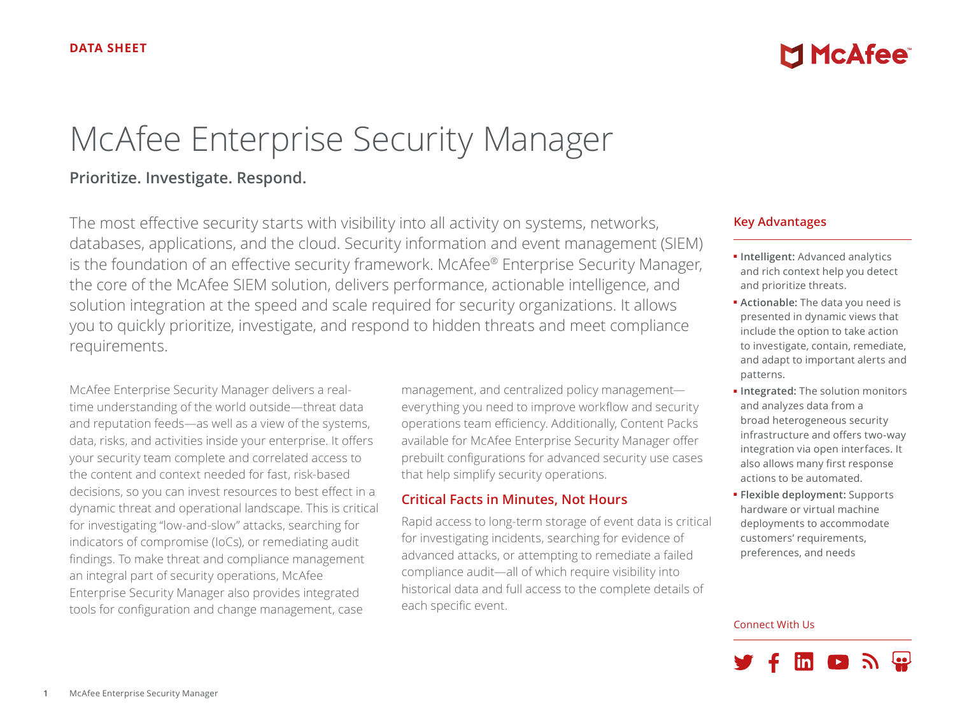# McAfee Enterprise Security Manager

## **Prioritize. Investigate. Respond.**

The most effective security starts with visibility into all activity on systems, networks, databases, applications, and the cloud. Security information and event management (SIEM) is the foundation of an effective security framework. McAfee® Enterprise Security Manager, the core of the McAfee SIEM solution, delivers performance, actionable intelligence, and solution integration at the speed and scale required for security organizations. It allows you to quickly prioritize, investigate, and respond to hidden threats and meet compliance requirements.

McAfee Enterprise Security Manager delivers a realtime understanding of the world outside—threat data and reputation feeds—as well as a view of the systems, data, risks, and activities inside your enterprise. It offers your security team complete and correlated access to the content and context needed for fast, risk-based decisions, so you can invest resources to best effect in a dynamic threat and operational landscape. This is critical for investigating "low-and-slow" attacks, searching for indicators of compromise (IoCs), or remediating audit findings. To make threat and compliance management an integral part of security operations, McAfee Enterprise Security Manager also provides integrated tools for configuration and change management, case

management, and centralized policy management everything you need to improve workflow and security operations team efficiency. Additionally, Content Packs available for McAfee Enterprise Security Manager offer prebuilt configurations for advanced security use cases that help simplify security operations.

## **Critical Facts in Minutes, Not Hours**

Rapid access to long-term storage of event data is critical for investigating incidents, searching for evidence of advanced attacks, or attempting to remediate a failed compliance audit—all of which require visibility into historical data and full access to the complete details of each specific event.

#### **Key Advantages**

■ **Intelligent:** Advanced analytics and rich context help you detect and prioritize threats.

**MINCAfee** 

- **Actionable:** The data you need is presented in dynamic views that include the option to take action to investigate, contain, remediate, and adapt to important alerts and patterns.
- **Integrated:** The solution monitors and analyzes data from a broad heterogeneous security infrastructure and offers two-way integration via open interfaces. It also allows many first response actions to be automated.
- **Flexible deployment:** Supports hardware or virtual machine deployments to accommodate customers' requirements, preferences, and needs

#### Connect With Us

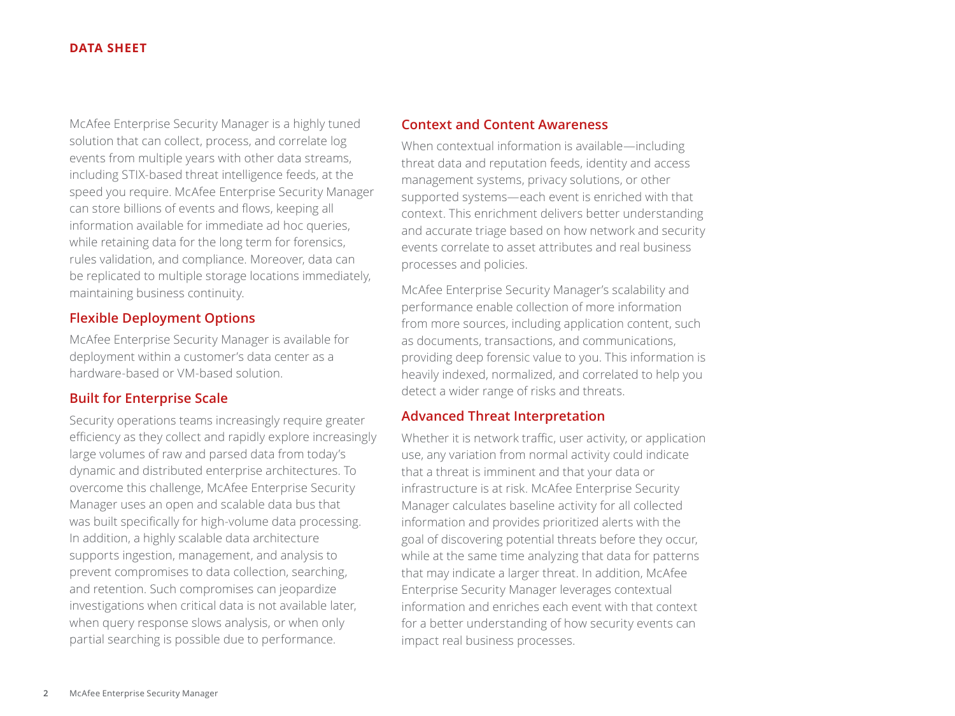McAfee Enterprise Security Manager is a highly tuned solution that can collect, process, and correlate log events from multiple years with other data streams, including STIX-based threat intelligence feeds, at the speed you require. McAfee Enterprise Security Manager can store billions of events and flows, keeping all information available for immediate ad hoc queries, while retaining data for the long term for forensics, rules validation, and compliance. Moreover, data can be replicated to multiple storage locations immediately, maintaining business continuity.

#### **Flexible Deployment Options**

McAfee Enterprise Security Manager is available for deployment within a customer's data center as a hardware-based or VM-based solution.

## **Built for Enterprise Scale**

Security operations teams increasingly require greater efficiency as they collect and rapidly explore increasingly large volumes of raw and parsed data from today's dynamic and distributed enterprise architectures. To overcome this challenge, McAfee Enterprise Security Manager uses an open and scalable data bus that was built specifically for high-volume data processing. In addition, a highly scalable data architecture supports ingestion, management, and analysis to prevent compromises to data collection, searching, and retention. Such compromises can jeopardize investigations when critical data is not available later, when query response slows analysis, or when only partial searching is possible due to performance.

#### **Context and Content Awareness**

When contextual information is available—including threat data and reputation feeds, identity and access management systems, privacy solutions, or other supported systems—each event is enriched with that context. This enrichment delivers better understanding and accurate triage based on how network and security events correlate to asset attributes and real business processes and policies.

McAfee Enterprise Security Manager's scalability and performance enable collection of more information from more sources, including application content, such as documents, transactions, and communications, providing deep forensic value to you. This information is heavily indexed, normalized, and correlated to help you detect a wider range of risks and threats.

#### **Advanced Threat Interpretation**

Whether it is network traffic, user activity, or application use, any variation from normal activity could indicate that a threat is imminent and that your data or infrastructure is at risk. McAfee Enterprise Security Manager calculates baseline activity for all collected information and provides prioritized alerts with the goal of discovering potential threats before they occur, while at the same time analyzing that data for patterns that may indicate a larger threat. In addition, McAfee Enterprise Security Manager leverages contextual information and enriches each event with that context for a better understanding of how security events can impact real business processes.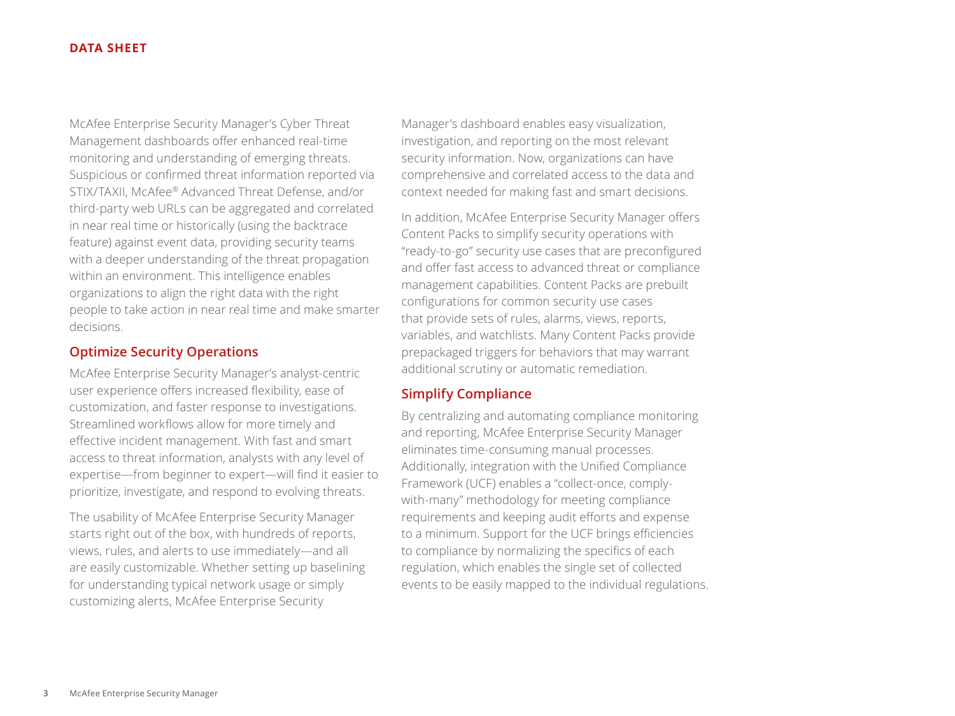McAfee Enterprise Security Manager's Cyber Threat Management dashboards offer enhanced real-time monitoring and understanding of emerging threats. Suspicious or confirmed threat information reported via STIX/TAXII, McAfee® Advanced Threat Defense, and/or third-party web URLs can be aggregated and correlated in near real time or historically (using the backtrace feature) against event data, providing security teams with a deeper understanding of the threat propagation within an environment. This intelligence enables organizations to align the right data with the right people to take action in near real time and make smarter decisions.

#### **Optimize Security Operations**

McAfee Enterprise Security Manager's analyst-centric user experience offers increased flexibility, ease of customization, and faster response to investigations. Streamlined workflows allow for more timely and effective incident management. With fast and smart access to threat information, analysts with any level of expertise—from beginner to expert—will find it easier to prioritize, investigate, and respond to evolving threats.

The usability of McAfee Enterprise Security Manager starts right out of the box, with hundreds of reports, views, rules, and alerts to use immediately—and all are easily customizable. Whether setting up baselining for understanding typical network usage or simply customizing alerts, McAfee Enterprise Security

Manager's dashboard enables easy visualization, investigation, and reporting on the most relevant security information. Now, organizations can have comprehensive and correlated access to the data and context needed for making fast and smart decisions.

In addition, McAfee Enterprise Security Manager offers Content Packs to simplify security operations with "ready-to-go" security use cases that are preconfigured and offer fast access to advanced threat or compliance management capabilities. Content Packs are prebuilt configurations for common security use cases that provide sets of rules, alarms, views, reports, variables, and watchlists. Many Content Packs provide prepackaged triggers for behaviors that may warrant additional scrutiny or automatic remediation.

#### **Simplify Compliance**

By centralizing and automating compliance monitoring and reporting, McAfee Enterprise Security Manager eliminates time-consuming manual processes. Additionally, integration with the Unified Compliance Framework (UCF) enables a "collect-once, complywith-many" methodology for meeting compliance requirements and keeping audit efforts and expense to a minimum. Support for the UCF brings efficiencies to compliance by normalizing the specifics of each regulation, which enables the single set of collected events to be easily mapped to the individual regulations.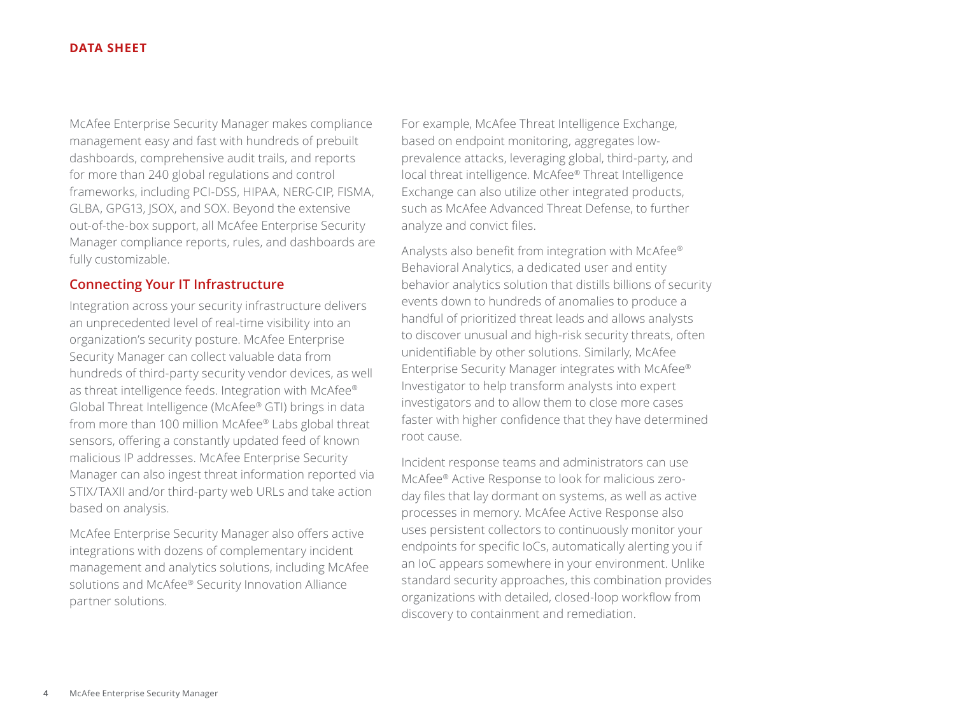McAfee Enterprise Security Manager makes compliance management easy and fast with hundreds of prebuilt dashboards, comprehensive audit trails, and reports for more than 240 global regulations and control frameworks, including PCI-DSS, HIPAA, NERC-CIP, FISMA, GLBA, GPG13, JSOX, and SOX. Beyond the extensive out-of-the-box support, all McAfee Enterprise Security Manager compliance reports, rules, and dashboards are fully customizable.

#### **Connecting Your IT Infrastructure**

Integration across your security infrastructure delivers an unprecedented level of real-time visibility into an organization's security posture. McAfee Enterprise Security Manager can collect valuable data from hundreds of third-party security vendor devices, as well as threat intelligence feeds. Integration with McAfee® Global Threat Intelligence (McAfee® GTI) brings in data from more than 100 million McAfee® Labs global threat sensors, offering a constantly updated feed of known malicious IP addresses. McAfee Enterprise Security Manager can also ingest threat information reported via STIX/TAXII and/or third-party web URLs and take action based on analysis.

McAfee Enterprise Security Manager also offers active integrations with dozens of complementary incident management and analytics solutions, including McAfee solutions and McAfee® Security Innovation Alliance partner solutions.

For example, McAfee Threat Intelligence Exchange, based on endpoint monitoring, aggregates lowprevalence attacks, leveraging global, third-party, and local threat intelligence. McAfee® Threat Intelligence Exchange can also utilize other integrated products, such as McAfee Advanced Threat Defense, to further analyze and convict files.

Analysts also benefit from integration with McAfee® Behavioral Analytics, a dedicated user and entity behavior analytics solution that distills billions of security events down to hundreds of anomalies to produce a handful of prioritized threat leads and allows analysts to discover unusual and high-risk security threats, often unidentifiable by other solutions. Similarly, McAfee Enterprise Security Manager integrates with McAfee® Investigator to help transform analysts into expert investigators and to allow them to close more cases faster with higher confidence that they have determined root cause.

Incident response teams and administrators can use McAfee® Active Response to look for malicious zeroday files that lay dormant on systems, as well as active processes in memory. McAfee Active Response also uses persistent collectors to continuously monitor your endpoints for specific IoCs, automatically alerting you if an IoC appears somewhere in your environment. Unlike standard security approaches, this combination provides organizations with detailed, closed-loop workflow from discovery to containment and remediation.